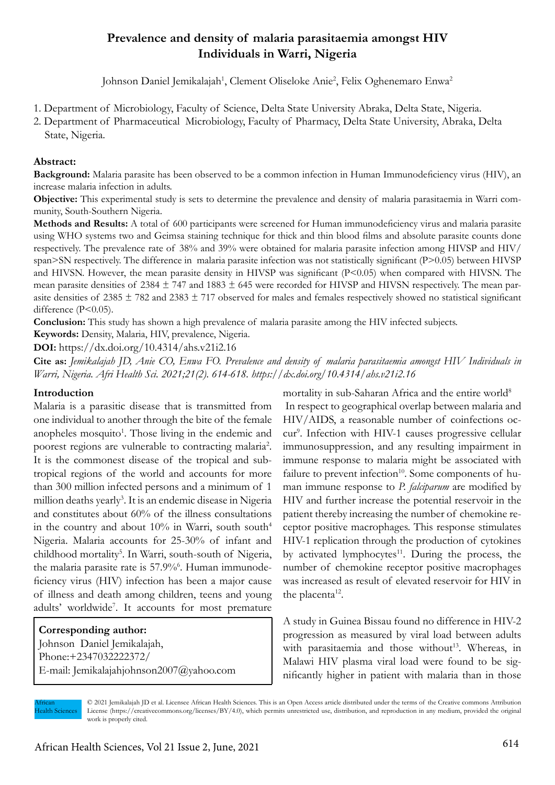# **Prevalence and density of malaria parasitaemia amongst HIV Individuals in Warri, Nigeria**

Johnson Daniel Jemikalajah<sup>1</sup>, Clement Oliseloke Anie<sup>2</sup>, Felix Oghenemaro Enwa<sup>2</sup>

- 1. Department of Microbiology, Faculty of Science, Delta State University Abraka, Delta State, Nigeria.
- 2. Department of Pharmaceutical Microbiology, Faculty of Pharmacy, Delta State University, Abraka, Delta State, Nigeria.

### **Abstract:**

**Background:** Malaria parasite has been observed to be a common infection in Human Immunodeficiency virus (HIV), an increase malaria infection in adults.

**Objective:** This experimental study is sets to determine the prevalence and density of malaria parasitaemia in Warri community, South-Southern Nigeria.

**Methods and Results:** A total of 600 participants were screened for Human immunodeficiency virus and malaria parasite using WHO systems two and Geimsa staining technique for thick and thin blood films and absolute parasite counts done respectively. The prevalence rate of 38% and 39% were obtained for malaria parasite infection among HIVSP and HIV/ span>SN respectively. The difference in malaria parasite infection was not statistically significant (P>0.05) between HIVSP and HIVSN. However, the mean parasite density in HIVSP was significant (P<0.05) when compared with HIVSN. The mean parasite densities of  $2384 \pm 747$  and  $1883 \pm 645$  were recorded for HIVSP and HIVSN respectively. The mean parasite densities of  $2385 \pm 782$  and  $2383 \pm 717$  observed for males and females respectively showed no statistical significant difference (P<0.05).

**Conclusion:** This study has shown a high prevalence of malaria parasite among the HIV infected subjects.

**Keywords:** Density, Malaria, HIV, prevalence, Nigeria.

**DOI:** https://dx.doi.org/10.4314/ahs.v21i2.16

**Cite as:** *Jemikalajah JD, Anie CO, Enwa FO. Prevalence and density of malaria parasitaemia amongst HIV Individuals in Warri, Nigeria. Afri Health Sci. 2021;21(2). 614-618. https://dx.doi.org/10.4314/ahs.v21i2.16*

#### **Introduction**

Malaria is a parasitic disease that is transmitted from one individual to another through the bite of the female anopheles mosquito<sup>1</sup>. Those living in the endemic and poorest regions are vulnerable to contracting malaria<sup>2</sup>. It is the commonest disease of the tropical and subtropical regions of the world and accounts for more than 300 million infected persons and a minimum of 1 million deaths yearly<sup>3</sup>. It is an endemic disease in Nigeria and constitutes about 60% of the illness consultations in the country and about  $10\%$  in Warri, south south<sup>4</sup> Nigeria. Malaria accounts for 25-30% of infant and childhood mortality<sup>5</sup>. In Warri, south-south of Nigeria, the malaria parasite rate is 57.9%<sup>6</sup>. Human immunodeficiency virus (HIV) infection has been a major cause of illness and death among children, teens and young adults' worldwide<sup>7</sup>. It accounts for most premature

# **Corresponding author:**  Johnson Daniel Jemikalajah, Phone:+2347032222372/

E-mail: Jemikalajahjohnson2007@yahoo.com

mortality in sub-Saharan Africa and the entire world<sup>8</sup> In respect to geographical overlap between malaria and HIV/AIDS, a reasonable number of coinfections occur<sup>9</sup>. Infection with HIV-1 causes progressive cellular immunosuppression, and any resulting impairment in immune response to malaria might be associated with failure to prevent infection<sup>10</sup>. Some components of human immune response to *P. falciparum* are modified by HIV and further increase the potential reservoir in the patient thereby increasing the number of chemokine receptor positive macrophages. This response stimulates HIV-1 replication through the production of cytokines by activated lymphocytes $11$ . During the process, the number of chemokine receptor positive macrophages was increased as result of elevated reservoir for HIV in the placenta $12$ .

A study in Guinea Bissau found no difference in HIV-2 progression as measured by viral load between adults with parasitaemia and those without<sup>13</sup>. Whereas, in Malawi HIV plasma viral load were found to be significantly higher in patient with malaria than in those

African Health Sciences

© 2021 Jemikalajah JD et al. Licensee African Health Sciences. This is an Open Access article distributed under the terms of the Creative commons Attribution License (https://creativecommons.org/licenses/BY/4.0), which permits unrestricted use, distribution, and reproduction in any medium, provided the original work is properly cited.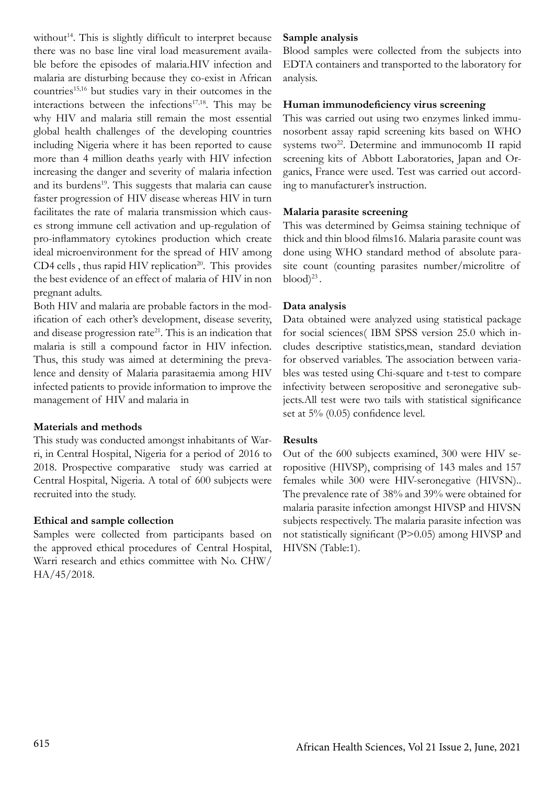without<sup>14</sup>. This is slightly difficult to interpret because there was no base line viral load measurement available before the episodes of malaria.HIV infection and malaria are disturbing because they co-exist in African countries<sup>15,16</sup> but studies vary in their outcomes in the interactions between the infections $17,18$ . This may be why HIV and malaria still remain the most essential global health challenges of the developing countries including Nigeria where it has been reported to cause more than 4 million deaths yearly with HIV infection increasing the danger and severity of malaria infection and its burdens<sup>19</sup>. This suggests that malaria can cause faster progression of HIV disease whereas HIV in turn facilitates the rate of malaria transmission which causes strong immune cell activation and up-regulation of pro-inflammatory cytokines production which create ideal microenvironment for the spread of HIV among  $CD4$  cells, thus rapid HIV replication<sup>20</sup>. This provides the best evidence of an effect of malaria of HIV in non pregnant adults.

Both HIV and malaria are probable factors in the modification of each other's development, disease severity, and disease progression rate<sup>21</sup>. This is an indication that malaria is still a compound factor in HIV infection. Thus, this study was aimed at determining the prevalence and density of Malaria parasitaemia among HIV infected patients to provide information to improve the management of HIV and malaria in

#### **Materials and methods**

This study was conducted amongst inhabitants of Warri, in Central Hospital, Nigeria for a period of 2016 to 2018. Prospective comparative study was carried at Central Hospital, Nigeria. A total of 600 subjects were recruited into the study.

#### **Ethical and sample collection**

Samples were collected from participants based on the approved ethical procedures of Central Hospital, Warri research and ethics committee with No. CHW/ HA/45/2018.

## **Sample analysis**

Blood samples were collected from the subjects into EDTA containers and transported to the laboratory for analysis.

#### **Human immunodeficiency virus screening**

This was carried out using two enzymes linked immunosorbent assay rapid screening kits based on WHO systems two<sup>22</sup>. Determine and immunocomb II rapid screening kits of Abbott Laboratories, Japan and Organics, France were used. Test was carried out according to manufacturer's instruction.

#### **Malaria parasite screening**

This was determined by Geimsa staining technique of thick and thin blood films16. Malaria parasite count was done using WHO standard method of absolute parasite count (counting parasites number/microlitre of  $\mathrm{blood})^{23}$ .

#### **Data analysis**

Data obtained were analyzed using statistical package for social sciences( IBM SPSS version 25.0 which includes descriptive statistics,mean, standard deviation for observed variables. The association between variables was tested using Chi-square and t-test to compare infectivity between seropositive and seronegative subjects.All test were two tails with statistical significance set at 5% (0.05) confidence level.

#### **Results**

Out of the 600 subjects examined, 300 were HIV seropositive (HIVSP), comprising of 143 males and 157 females while 300 were HIV-seronegative (HIVSN).. The prevalence rate of 38% and 39% were obtained for malaria parasite infection amongst HIVSP and HIVSN subjects respectively. The malaria parasite infection was not statistically significant (P>0.05) among HIVSP and HIVSN (Table:1).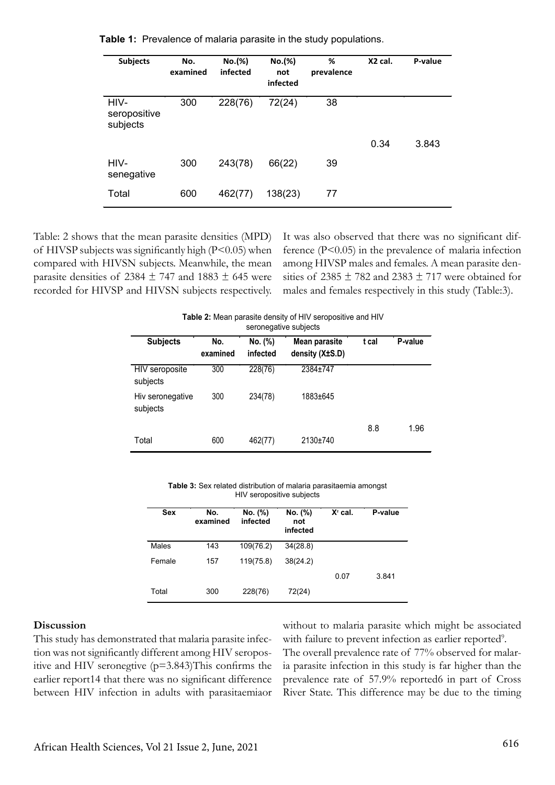| <b>Subjects</b>                  | No.<br>examined | No.(%)<br>infected | No.(%)<br>not<br>infected | %<br>prevalence | X2 cal. | P-value |
|----------------------------------|-----------------|--------------------|---------------------------|-----------------|---------|---------|
| HIV-<br>seropositive<br>subjects | 300             | 228(76)            | 72(24)                    | 38              |         |         |
|                                  |                 |                    |                           |                 | 0.34    | 3.843   |
| HIV-<br>senegative               | 300             | 243(78)            | 66(22)                    | 39              |         |         |
| Total                            | 600             | 462(77)            | 138(23)                   | 77              |         |         |
|                                  |                 |                    |                           |                 |         |         |

**Table 1:** Prevalence of malaria parasite in the study populations.

Table: 2 shows that the mean parasite densities (MPD) of HIVSP subjects was significantly high  $(P<0.05)$  when compared with HIVSN subjects. Meanwhile, the mean parasite densities of 2384  $\pm$  747 and 1883  $\pm$  645 were recorded for HIVSP and HIVSN subjects respectively. It was also observed that there was no significant difference (P<0.05) in the prevalence of malaria infection among HIVSP males and females. A mean parasite densities of  $2385 \pm 782$  and  $2383 \pm 717$  were obtained for males and females respectively in this study (Table:3).

| <b>Fable 2.</b> Micall parasite actiony of Fire scropositive and Fire<br>seronegative subjects |                 |                     |                                         |       |         |  |
|------------------------------------------------------------------------------------------------|-----------------|---------------------|-----------------------------------------|-------|---------|--|
| <b>Subjects</b>                                                                                | No.<br>examined | No. (%)<br>infected | <b>Mean parasite</b><br>density (X±S.D) | t cal | P-value |  |
| HIV seroposite<br>subjects                                                                     | 300             | 228(76)             | 2384±747                                |       |         |  |
| Hiv seronegative<br>subjects                                                                   | 300             | 234(78)             | 1883±645                                |       |         |  |
|                                                                                                |                 |                     |                                         | 8.8   | 1.96    |  |
| Total                                                                                          | 600             | 462(77)             | 2130±740                                |       |         |  |

**Table 2:** Mean parasite density of HIV seropositive and HIV **Table 2:** Mean parasite density of HIV seropositive and HIV

**Table 3:** Sex related distribution of malaria parasitaemia amongst HIV seropositive subjects

| Sex    | No.<br>examined | No. (%)<br>infected | No. (%)<br>not<br>infected | $X^2$ cal. | P-value |
|--------|-----------------|---------------------|----------------------------|------------|---------|
| Males  | 143             | 109(76.2)           | 34(28.8)                   |            |         |
| Female | 157             | 119(75.8)           | 38(24.2)                   |            |         |
|        |                 |                     |                            | 0.07       | 3.841   |
| Total  | 300             | 228(76)             | 72(24)                     |            |         |

#### **Discussion**

This study has demonstrated that malaria parasite infection was not significantly different among HIV seropositive and HIV seronegtive  $(p=3.843)$ This confirms the earlier report14 that there was no significant difference between HIV infection in adults with parasitaemiaor

without to malaria parasite which might be associated with failure to prevent infection as earlier reported<sup>9</sup>.

The overall prevalence rate of 77% observed for malaria parasite infection in this study is far higher than the prevalence rate of 57.9% reported6 in part of Cross River State. This difference may be due to the timing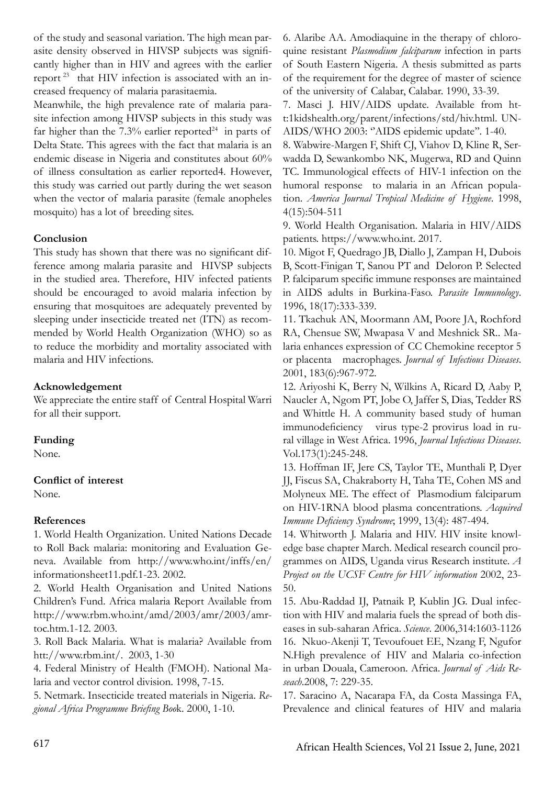of the study and seasonal variation. The high mean parasite density observed in HIVSP subjects was significantly higher than in HIV and agrees with the earlier report 23 that HIV infection is associated with an increased frequency of malaria parasitaemia.

Meanwhile, the high prevalence rate of malaria parasite infection among HIVSP subjects in this study was far higher than the  $7.3\%$  earlier reported<sup>24</sup> in parts of Delta State. This agrees with the fact that malaria is an endemic disease in Nigeria and constitutes about 60% of illness consultation as earlier reported4. However, this study was carried out partly during the wet season when the vector of malaria parasite (female anopheles mosquito) has a lot of breeding sites.

## **Conclusion**

This study has shown that there was no significant difference among malaria parasite and HIVSP subjects in the studied area. Therefore, HIV infected patients should be encouraged to avoid malaria infection by ensuring that mosquitoes are adequately prevented by sleeping under insecticide treated net (ITN) as recommended by World Health Organization (WHO) so as to reduce the morbidity and mortality associated with malaria and HIV infections.

## **Acknowledgement**

We appreciate the entire staff of Central Hospital Warri for all their support.

#### **Funding**

None.

## **Conflict of interest**

None.

## **References**

1. World Health Organization. United Nations Decade to Roll Back malaria: monitoring and Evaluation Geneva. Available from http://www.who.int/inffs/en/ informationsheet11.pdf.1-23. 2002.

2. World Health Organisation and United Nations Children's Fund. Africa malaria Report Available from http://www.rbm.who.int/amd/2003/amr/2003/amrtoc.htm.1-12. 2003.

3. Roll Back Malaria. What is malaria? Available from htt://www.rbm.int/. 2003, 1-30

4. Federal Ministry of Health (FMOH). National Malaria and vector control division. 1998, 7-15.

5. Netmark. Insecticide treated materials in Nigeria. *Regional Africa Programme Briefing Boo*k. 2000, 1-10.

6. Alaribe AA. Amodiaquine in the therapy of chloroquine resistant *Plasmodium falciparum* infection in parts of South Eastern Nigeria. A thesis submitted as parts of the requirement for the degree of master of science of the university of Calabar, Calabar. 1990, 33-39.

7. Masci J. HIV/AIDS update. Available from htt:1kidshealth.org/parent/infections/std/hiv.html. UN-AIDS/WHO 2003: "AIDS epidemic update". 1-40.

8. Wabwire-Margen F, Shift CJ, Viahov D, Kline R, Serwadda D, Sewankombo NK, Mugerwa, RD and Quinn TC. Immunological effects of HIV-1 infection on the humoral response to malaria in an African population. *America Journal Tropical Medicine of Hygiene*. 1998, 4(15):504-511

9. World Health Organisation. Malaria in HIV/AIDS patients. https://www.who.int. 2017.

10. Migot F, Quedrago JB, Diallo J, Zampan H, Dubois B, Scott-Finigan T, Sanou PT and Deloron P. Selected P. falciparum specific immune responses are maintained in AIDS adults in Burkina-Faso. *Parasite Immunology*. 1996, 18(17):333-339.

11. Tkachuk AN, Moormann AM, Poore JA, Rochford RA, Chensue SW, Mwapasa V and Meshnick SR.. Malaria enhances expression of CC Chemokine receptor 5 or placenta macrophages. *Journal of Infectious Diseases*. 2001, 183(6):967-972.

12. Ariyoshi K, Berry N, Wilkins A, Ricard D, Aaby P, Naucler A, Ngom PT, Jobe O, Jaffer S, Dias, Tedder RS and Whittle H. A community based study of human immunodeficiency virus type-2 provirus load in rural village in West Africa. 1996, *Journal Infectious Diseases*. Vol.173(1):245-248.

13. Hoffman IF, Jere CS, Taylor TE, Munthali P, Dyer JJ, Fiscus SA, Chakraborty H, Taha TE, Cohen MS and Molyneux ME. The effect of Plasmodium falciparum on HIV-1RNA blood plasma concentrations. *Acquired Immune Deficiency Syndrome*; 1999, 13(4): 487-494.

14. Whitworth J. Malaria and HIV. HIV insite knowledge base chapter March. Medical research council programmes on AIDS, Uganda virus Research institute. *A Project on the UCSF Centre for HIV information* 2002, 23- 50.

15. Abu-Raddad IJ, Patnaik P, Kublin JG. Dual infection with HIV and malaria fuels the spread of both diseases in sub-saharan Africa. *Science*. 2006,314:1603-1126 16. Nkuo-Akenji T, Tevoufouet EE, Nzang F, Ngufor N.High prevalence of HIV and Malaria co-infection in urban Douala, Cameroon. Africa. *Journal of Aids Reseach*.2008, 7: 229-35.

17. Saracino A, Nacarapa FA, da Costa Massinga FA, Prevalence and clinical features of HIV and malaria